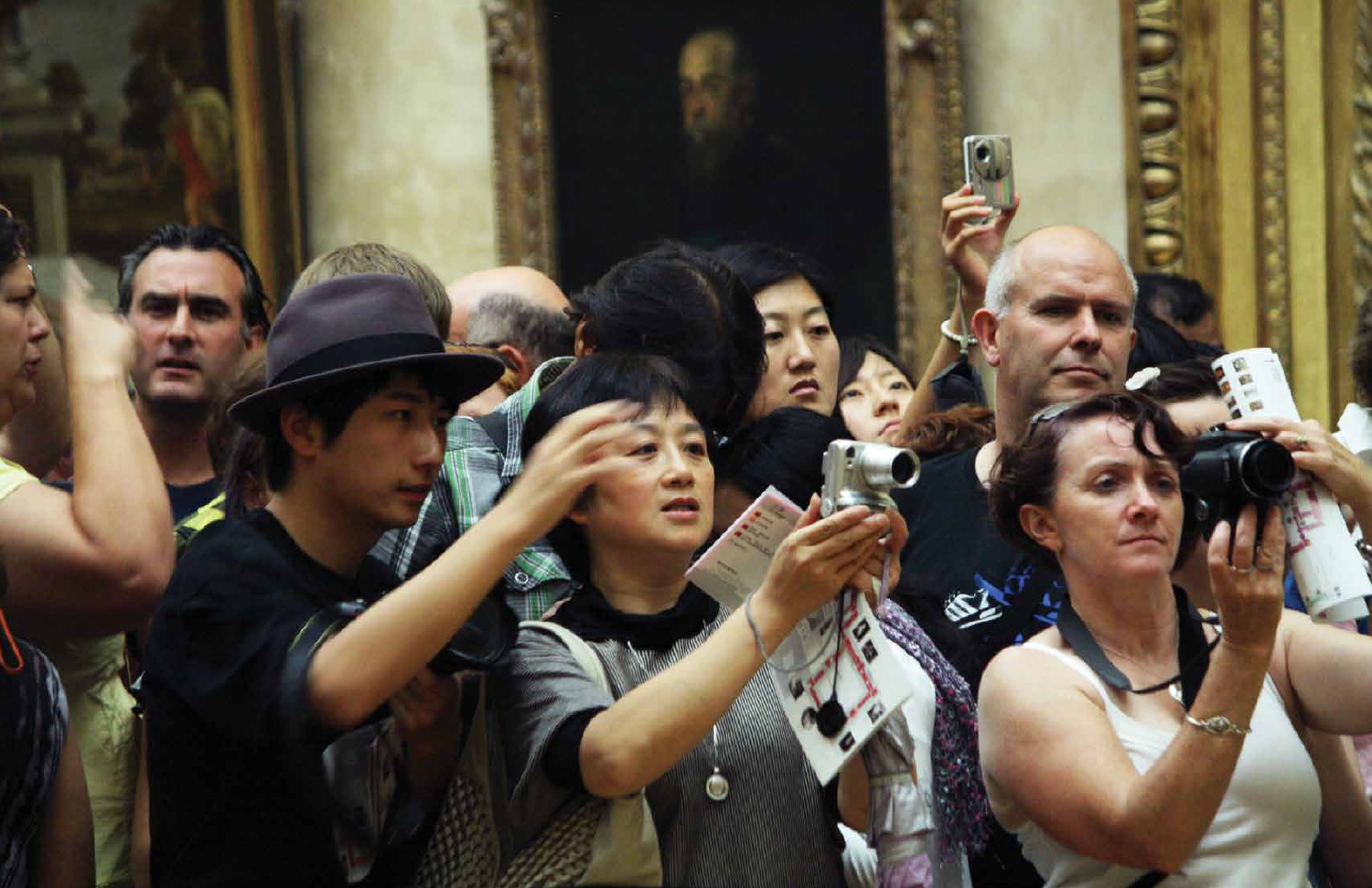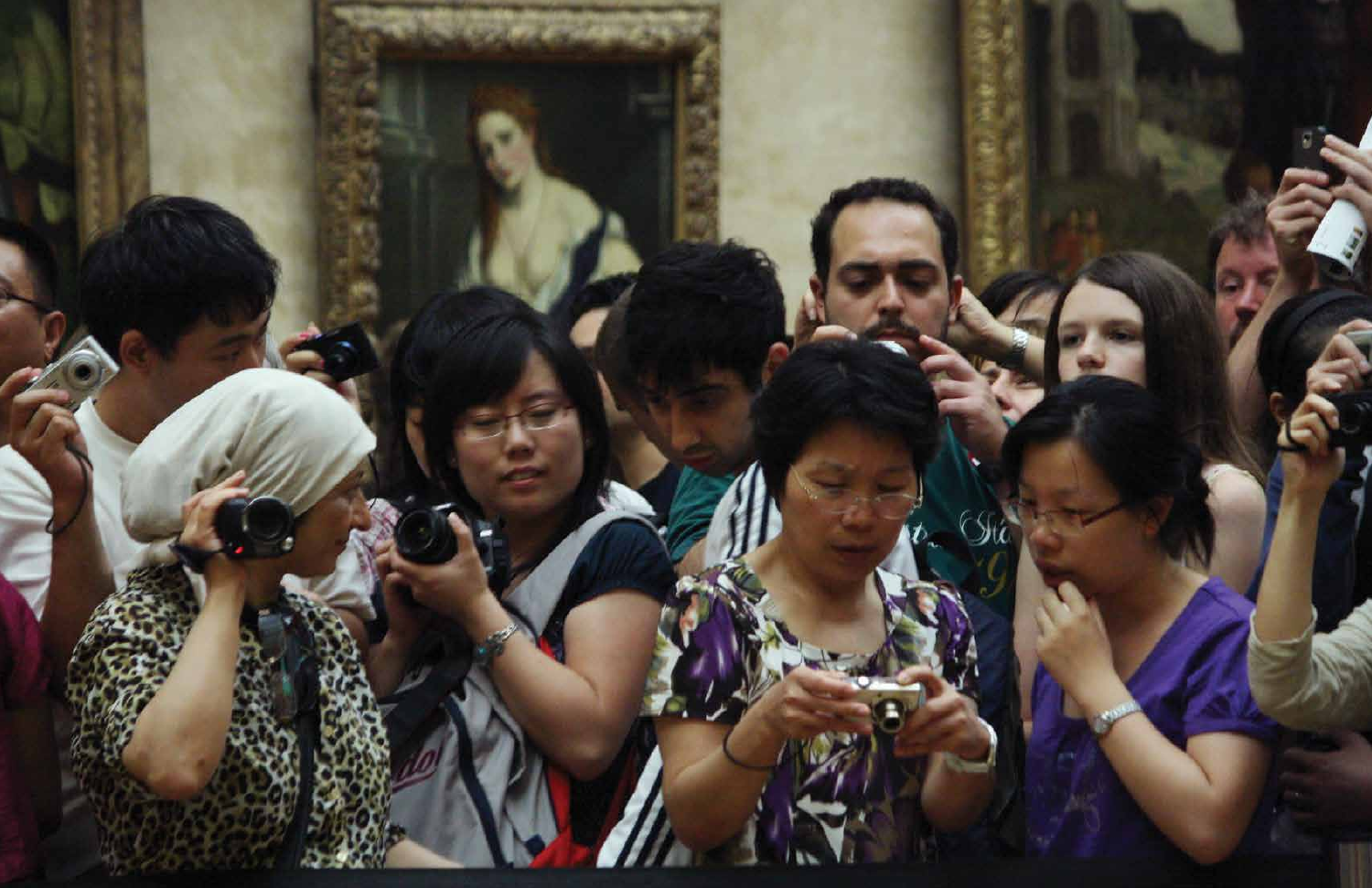